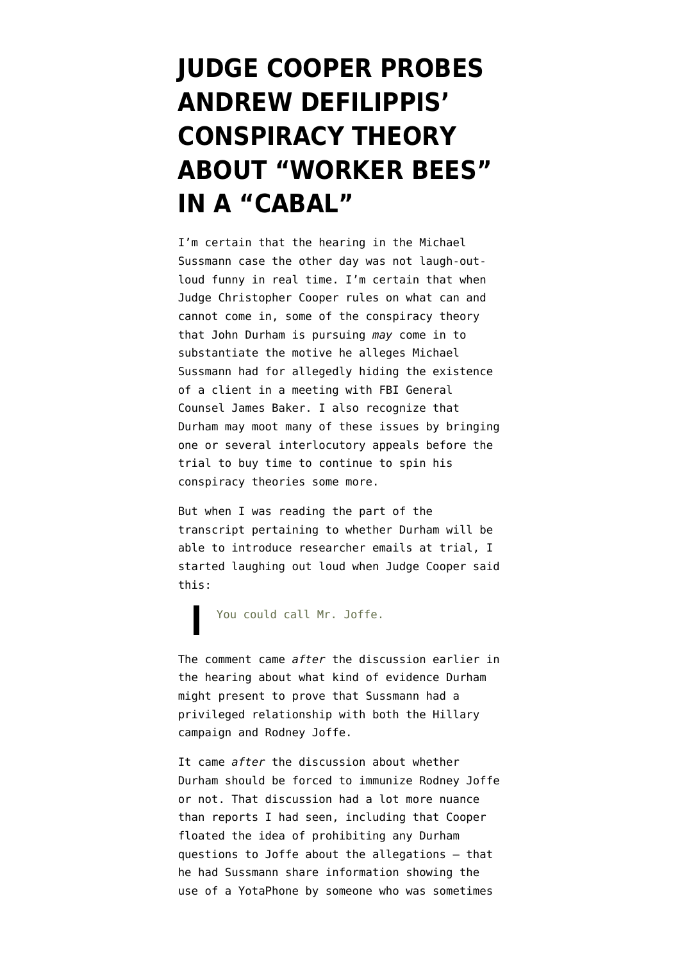## **[JUDGE COOPER PROBES](https://www.emptywheel.net/2022/04/29/judge-coopers-questions-about-andrew-defilippis-worker-bees-and-cabal/) [ANDREW DEFILIPPIS'](https://www.emptywheel.net/2022/04/29/judge-coopers-questions-about-andrew-defilippis-worker-bees-and-cabal/) [CONSPIRACY THEORY](https://www.emptywheel.net/2022/04/29/judge-coopers-questions-about-andrew-defilippis-worker-bees-and-cabal/) [ABOUT "WORKER BEES"](https://www.emptywheel.net/2022/04/29/judge-coopers-questions-about-andrew-defilippis-worker-bees-and-cabal/) [IN A "CABAL"](https://www.emptywheel.net/2022/04/29/judge-coopers-questions-about-andrew-defilippis-worker-bees-and-cabal/)**

I'm certain that the hearing in the Michael Sussmann case the other day was not laugh-outloud funny in real time. I'm certain that when Judge Christopher Cooper rules on what can and cannot come in, some of the conspiracy theory that John Durham is pursuing *may* come in to substantiate the motive he alleges Michael Sussmann had for allegedly hiding the existence of a client in a meeting with FBI General Counsel James Baker. I also recognize that Durham may moot many of these issues by bringing one or several interlocutory appeals before the trial to buy time to continue to spin his conspiracy theories some more.

But when I was reading the part of the [transcript](https://www.documentcloud.org/documents/21768779-220427-sussmann-hearing-transcript) pertaining to whether Durham will be able to introduce researcher emails at trial, I started laughing out loud when Judge Cooper [said](https://www.documentcloud.org/documents/21768779-220427-sussmann-hearing-transcript#document/p28/a2101533) [this](https://www.documentcloud.org/documents/21768779-220427-sussmann-hearing-transcript#document/p28/a2101533):

You could call Mr. Joffe.

The comment came *after* the discussion earlier in the hearing about what kind of evidence Durham might present to prove that Sussmann had a privileged relationship with both the Hillary campaign and Rodney Joffe.

It came *after* the discussion about whether Durham should be forced to immunize Rodney Joffe or not. That discussion had a lot more nuance than reports I had seen, including that Cooper floated the idea of prohibiting any Durham questions to Joffe about the allegations — that he had Sussmann share information showing the use of a YotaPhone by [someone who was sometimes](https://www.emptywheel.net/2022/04/16/john-durham-continues-to-hide-how-michael-sussmann-helped-kill-the-nyt-story/)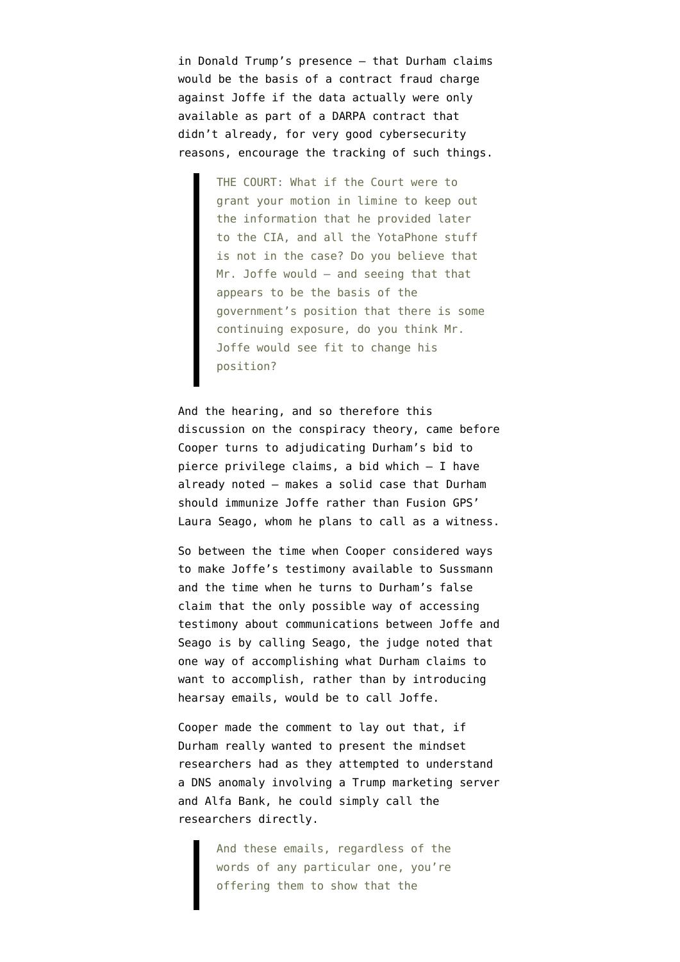[in Donald Trump's presence](https://www.emptywheel.net/2022/04/16/john-durham-continues-to-hide-how-michael-sussmann-helped-kill-the-nyt-story/) — that Durham claims would be the basis of a contract fraud charge against Joffe if the data actually were only available as part of a DARPA contract that didn't already, for very good cybersecurity reasons, encourage the tracking of such things.

> THE COURT: What if the Court were to grant your motion in limine to keep out the information that he provided later to the CIA, and all the YotaPhone stuff is not in the case? Do you believe that Mr. Joffe would — and seeing that that appears to be the basis of the government's position that there is some continuing exposure, do you think Mr. Joffe would see fit to change his position?

And the hearing, and so therefore this discussion on the conspiracy theory, came before Cooper turns to adjudicating Durham's bid to pierce privilege claims, a bid which — [I have](https://www.emptywheel.net/2022/04/26/not-us-at-all-in-his-bid-to-pierce-privilege-john-durham-makes-strong-case-for-immunizing-rodney-joffe/) [already noted](https://www.emptywheel.net/2022/04/26/not-us-at-all-in-his-bid-to-pierce-privilege-john-durham-makes-strong-case-for-immunizing-rodney-joffe/) — makes a solid case that Durham should immunize Joffe rather than Fusion GPS' Laura Seago, whom he plans to call as a witness.

So between the time when Cooper considered ways to make Joffe's testimony available to Sussmann and the time when he turns to Durham's false claim that the only possible way of accessing testimony about communications between Joffe and Seago is by calling Seago, the judge noted that one way of accomplishing what Durham claims to want to accomplish, rather than by introducing hearsay emails, would be to call Joffe.

Cooper made the comment to lay out that, if Durham really wanted to present the mindset researchers had as they attempted to understand a DNS anomaly involving a Trump marketing server and Alfa Bank, he could simply call the researchers directly.

> And these emails, regardless of the words of any particular one, you're offering them to show that the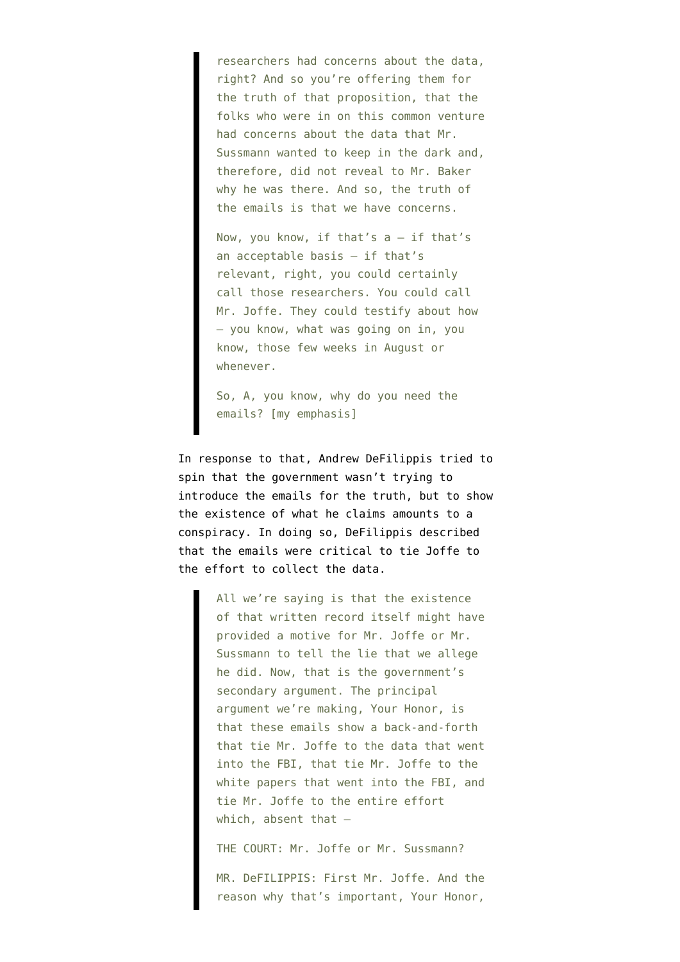researchers had concerns about the data, right? And so you're offering them for the truth of that proposition, that the folks who were in on this common venture had concerns about the data that Mr. Sussmann wanted to keep in the dark and, therefore, did not reveal to Mr. Baker why he was there. And so, the truth of the emails is that we have concerns.

Now, you know, if that's a — if that's an acceptable basis — if that's relevant, right, you could certainly call those researchers. You could call Mr. Joffe. They could testify about how — you know, what was going on in, you know, those few weeks in August or whenever.

So, A, you know, why do you need the emails? [my emphasis]

In response to that, Andrew DeFilippis tried to spin that the government wasn't trying to introduce the emails for the truth, but to show the existence of what he claims amounts to a conspiracy. In doing so, DeFilippis described that the emails were critical to tie Joffe to the effort to collect the data.

> All we're saying is that the existence of that written record itself might have provided a motive for Mr. Joffe or Mr. Sussmann to tell the lie that we allege he did. Now, that is the government's secondary argument. The principal argument we're making, Your Honor, is that these emails show a back-and-forth that tie Mr. Joffe to the data that went into the FBI, that tie Mr. Joffe to the white papers that went into the FBI, and tie Mr. Joffe to the entire effort which, absent that —

THE COURT: Mr. Joffe or Mr. Sussmann?

MR. DeFILIPPIS: First Mr. Joffe. And the reason why that's important, Your Honor,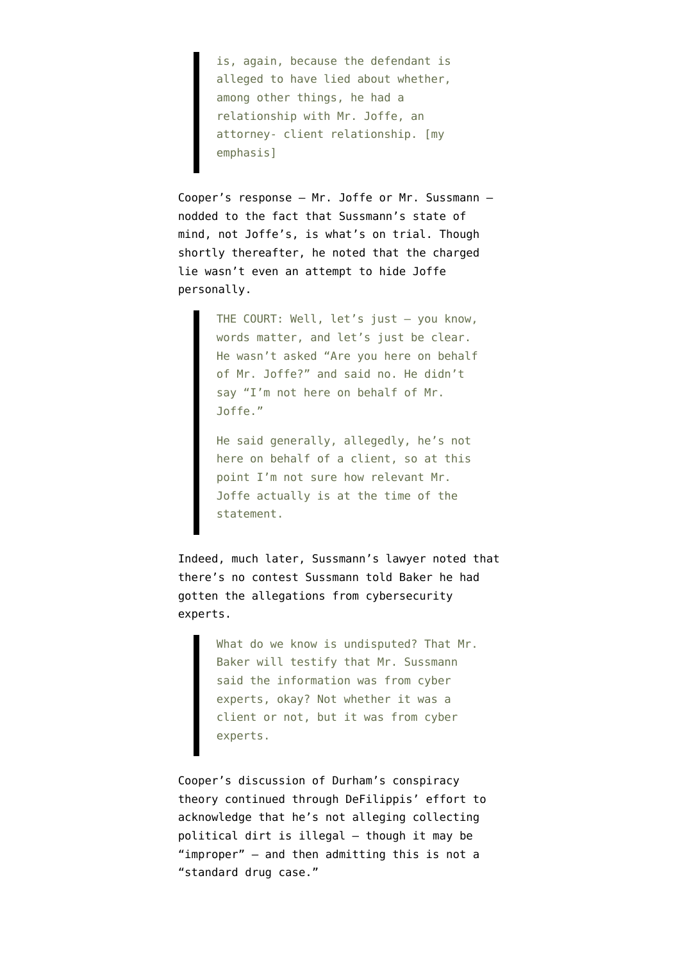is, again, because the defendant is alleged to have lied about whether, among other things, he had a relationship with Mr. Joffe, an attorney- client relationship. [my emphasis]

Cooper's response — Mr. Joffe or Mr. Sussmann nodded to the fact that Sussmann's state of mind, not Joffe's, is what's on trial. Though shortly thereafter, he noted that the charged lie wasn't even an attempt to hide Joffe personally.

> THE COURT: Well, let's just — you know, words matter, and let's just be clear. He wasn't asked "Are you here on behalf of Mr. Joffe?" and said no. He didn't say "I'm not here on behalf of Mr. Joffe."

He said generally, allegedly, he's not here on behalf of a client, so at this point I'm not sure how relevant Mr. Joffe actually is at the time of the statement.

Indeed, much later, Sussmann's lawyer noted that there's no contest Sussmann told Baker he had gotten the allegations from cybersecurity experts.

> What do we know is undisputed? That Mr. Baker will testify that Mr. Sussmann said the information was from cyber experts, okay? Not whether it was a client or not, but it was from cyber experts.

Cooper's discussion of Durham's conspiracy theory continued through DeFilippis' effort to acknowledge that he's not alleging collecting political dirt is illegal — though it may be "improper" — and then admitting this is not a "standard drug case."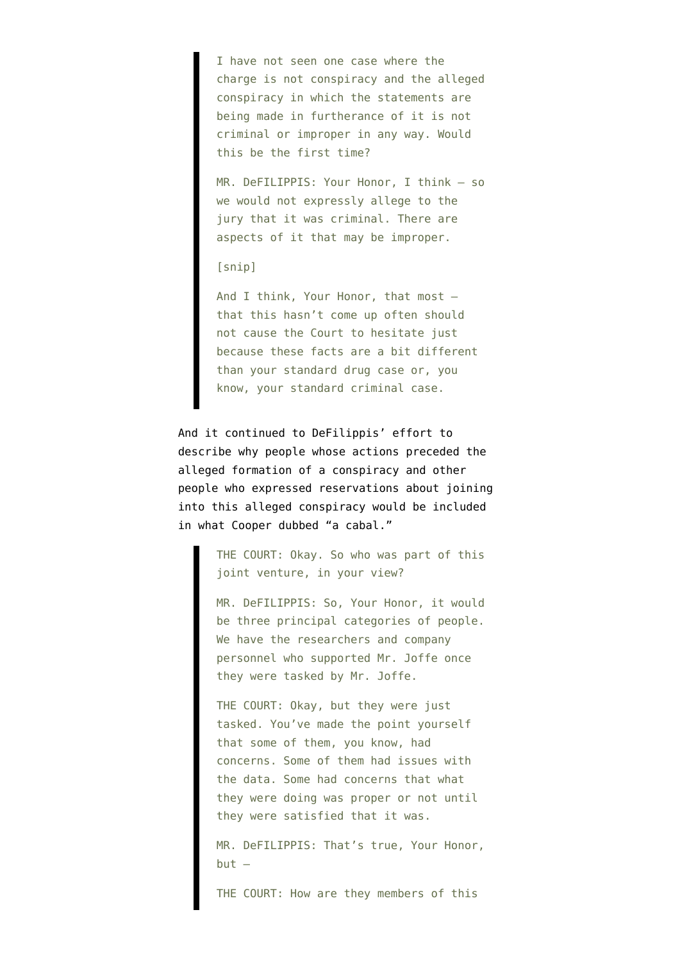I have not seen one case where the charge is not conspiracy and the alleged conspiracy in which the statements are being made in furtherance of it is not criminal or improper in any way. Would this be the first time?

MR. DeFILIPPIS: Your Honor, I think — so we would not expressly allege to the jury that it was criminal. There are aspects of it that may be improper.

## [snip]

And I think, Your Honor, that most that this hasn't come up often should not cause the Court to hesitate just because these facts are a bit different than your standard drug case or, you know, your standard criminal case.

And it continued to DeFilippis' effort to describe why people whose actions preceded the alleged formation of a conspiracy and other people who expressed reservations about joining into this alleged conspiracy would be included in what Cooper dubbed "a cabal."

> THE COURT: Okay. So who was part of this joint venture, in your view?

> MR. DeFILIPPIS: So, Your Honor, it would be three principal categories of people. We have the researchers and company personnel who supported Mr. Joffe once they were tasked by Mr. Joffe.

THE COURT: Okay, but they were just tasked. You've made the point yourself that some of them, you know, had concerns. Some of them had issues with the data. Some had concerns that what they were doing was proper or not until they were satisfied that it was.

MR. DeFILIPPIS: That's true, Your Honor,  $but -$ 

THE COURT: How are they members of this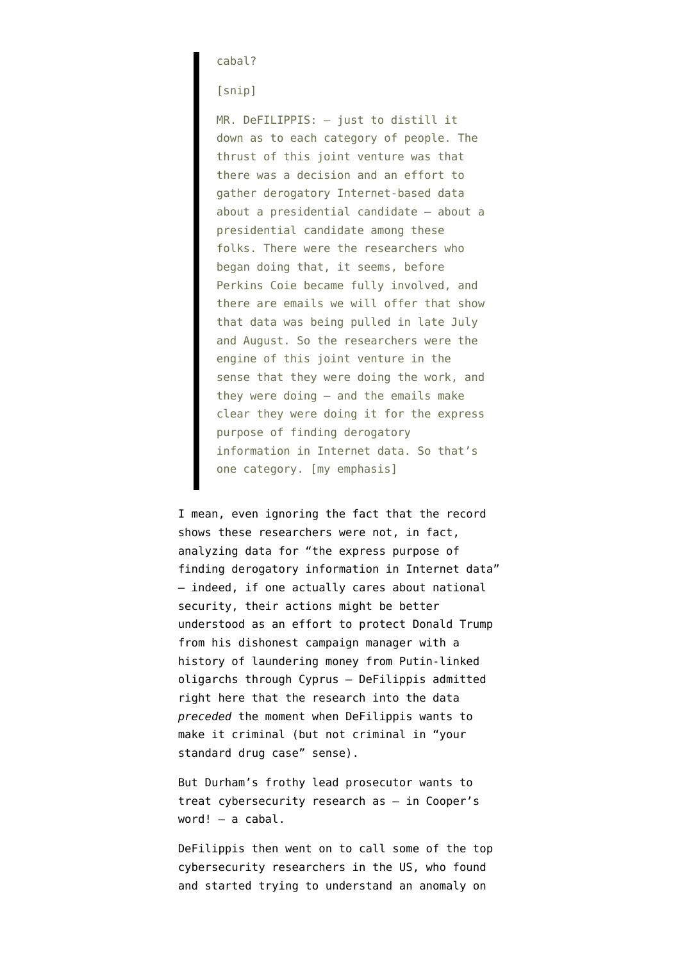cabal?

[snip]

MR. DeFILIPPIS: — just to distill it down as to each category of people. The thrust of this joint venture was that there was a decision and an effort to gather derogatory Internet-based data about a presidential candidate — about a presidential candidate among these folks. There were the researchers who began doing that, it seems, before Perkins Coie became fully involved, and there are emails we will offer that show that data was being pulled in late July and August. So the researchers were the engine of this joint venture in the sense that they were doing the work, and they were doing — and the emails make clear they were doing it for the express purpose of finding derogatory information in Internet data. So that's one category. [my emphasis]

I mean, even ignoring [the fact that the record](https://www.emptywheel.net/2022/04/06/tunnel-vision-durham-treats-citizens-research-into-real-paul-manafort-crimes-like-a-criminal-conspiracy/) [shows](https://www.emptywheel.net/2022/04/06/tunnel-vision-durham-treats-citizens-research-into-real-paul-manafort-crimes-like-a-criminal-conspiracy/) these researchers were not, in fact, analyzing data for "the express purpose of finding derogatory information in Internet data" — indeed, if one actually cares about national security, their actions might be better understood as an effort to protect Donald Trump from his dishonest campaign manager with a history of laundering money from Putin-linked oligarchs through Cyprus — DeFilippis admitted right here that the research into the data *preceded* the moment when DeFilippis wants to make it criminal (but not criminal in "your standard drug case" sense).

But Durham's frothy lead prosecutor wants to treat cybersecurity research as — in Cooper's word! — a cabal.

DeFilippis then went on to call some of the top cybersecurity researchers in the US, who found and started trying to understand an anomaly on